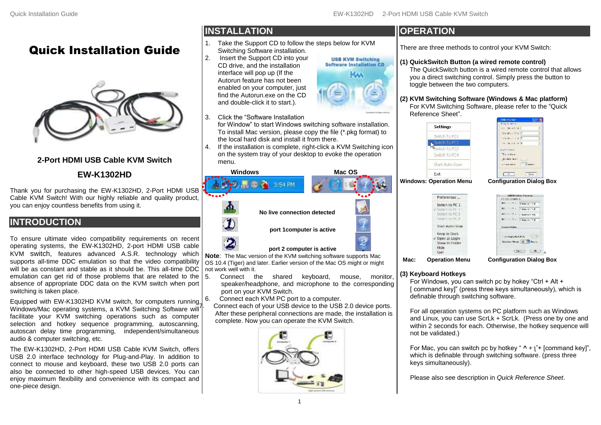**USB KVM Switching Software Installation CD MAA** 

# Quick Installation Guide



### **2-Port HDMI USB Cable KVM Switch**

### **EW-K1302HD**

Thank you for purchasing the EW-K1302HD, 2-Port HDMI USB Cable KVM Switch! With our highly reliable and quality product, you can enjoy countless benefits from using it.

## **INTRODUCTION**

To ensure ultimate video compatibility requirements on recent operating systems, the EW-K1302HD, 2-port HDMI USB cable KVM switch, features advanced A.S.R. technology which supports all-time DDC emulation so that the video compatibility will be as constant and stable as it should be. This all-time DDC emulation can get rid of those problems that are related to the absence of appropriate DDC data on the KVM switch when port switching is taken place.

Equipped with EW-K1302HD KVM switch, for computers running Windows/Mac operating systems, a KVM Switching Software will facilitate your KVM switching operations such as computer selection and hotkey sequence programming, autoscanning, autoscan delay time programming, independent/simultaneous audio & computer switching, etc.

The EW-K1302HD, 2-Port HDMI USB Cable KVM Switch, offers USB 2.0 interface technology for Plug-and-Play. In addition to connect to mouse and keyboard, these two USB 2.0 ports can also be connected to other high-speed USB devices. You can enjoy maximum flexibility and convenience with its compact and one-piece design.

# **INSTALLATION**

- 1. Take the Support CD to follow the steps below for KVM Switching Software installation.
- 2. Insert the Support CD into your CD drive, and the installation interface will pop up (If the Autorun feature has not been enabled on your computer, just find the Autorun.exe on the CD and double-click it to start.).
- 3. Click the "Software Installation

for Window" to start Windows switching software installation. To install Mac version, please copy the file (\*.pkg format) to the local hard disk and install it from there.

4. If the installation is complete, right-click a KVM Switching icon on the system tray of your desktop to evoke the operation menu.



**Note**: The Mac version of the KVM switching software supports Mac OS 10.4 (Tiger) and later. Earlier version of the Mac OS might or might not work well with it.

- 5. Connect the shared keyboard, mouse, monitor, speaker/headphone, and microphone to the corresponding port on your KVM Switch.
- 6. Connect each KVM PC port to a computer.

Connect each of your USB device to the USB 2.0 device ports. After these peripheral connections are made, the installation is complete. Now you can operate the KVM Switch.



### **OPERATION**

There are three methods to control your KVM Switch:

#### **(1) QuickSwitch Button (a wired remote control)**

The QuickSwitch button is a wired remote control that allows you a direct switching control. Simply press the button to toggle between the two computers.

#### **(2) KVM Switching Software (Windows & Mac platform)**

For KVM Switching Software, please refer to the "Quick Reference Sheet".

**Settings** Switch To PC1 witch To P Switch To PC3 Switch To PC4 Start Auto-Scan **Windows: Operation Menu Configuration Dialog Box** Evit Preferences ...

> Switch to PC 1 Suite to PC 3 AMTER ENTER Start Auto-Scan Keep in Dock Open at Login Show in Finde Hide Quin

| <b>Public Children</b> |  |
|------------------------|--|
|                        |  |
|                        |  |
|                        |  |
|                        |  |
|                        |  |
|                        |  |
|                        |  |
|                        |  |
|                        |  |
|                        |  |
| າfiαuration Dialoα     |  |

| <b>TANTILLE</b>                       | Laborativaking Externate |
|---------------------------------------|--------------------------|
| m.                                    | Littler or LC-C          |
| W.                                    | Library 1974             |
|                                       | <b>PEEP</b>              |
| 作りにつくて                                |                          |
| <b><i><u>Purances Orchest</u></i></b> | . .                      |
| <b>HOMAN BULL</b>                     | $\sim$                   |
| President .                           |                          |
|                                       |                          |

**Mac: Operation Menu Configuration Dialog Box**

#### **(3) Keyboard Hotkeys**

For Windows, you can switch pc by hokey "Ctrl + Alt + [ command key]" (press three keys simultaneously), which is definable through switching software.

For all operation systems on PC platform such as Windows and Linux, you can use ScrLk + ScrLk. (Press one by one and within 2 seconds for each. Otherwise, the hotkey sequence will not be validated.)

For Mac, you can switch pc by hotkey " **^** + ʅ˝+ [command key]", which is definable through switching software. (press three keys simultaneously).

Please also see description in *Quick Reference Sheet*.